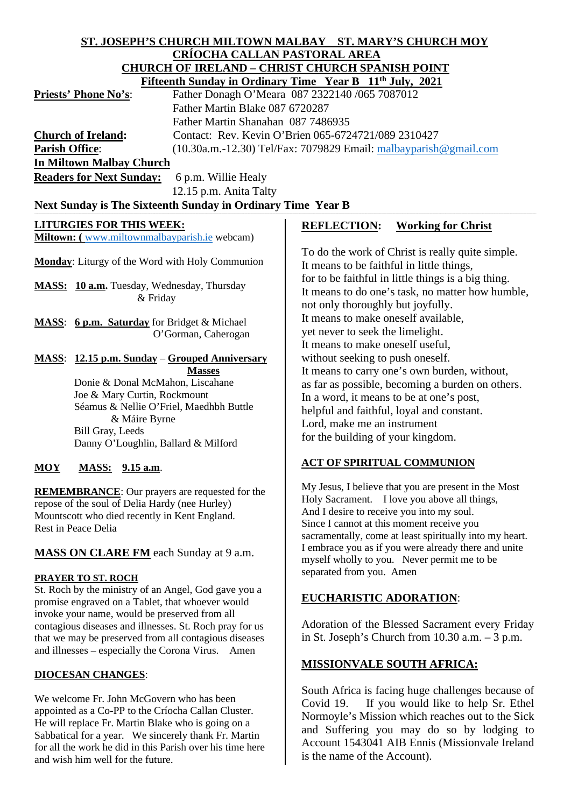#### **ST. JOSEPH'S CHURCH MILTOWN MALBAY ST. MARY'S CHURCH MOY CRÍOCHA CALLAN PASTORAL AREA CHURCH OF IRELAND – CHRIST CHURCH SPANISH POINT Fifteenth Sunday in Ordinary Time Year B 11th July, 2021**

|                                 | PHREDIU DUNUAY III OTUNIALY THILE TEAL D TT JULY, 2021              |
|---------------------------------|---------------------------------------------------------------------|
| <b>Priests' Phone No's:</b>     | Father Donagh O'Meara 087 2322140 /065 7087012                      |
|                                 | Father Martin Blake 087 6720287                                     |
|                                 | Father Martin Shanahan 087 7486935                                  |
| <b>Church of Ireland:</b>       | Contact: Rev. Kevin O'Brien 065-6724721/089 2310427                 |
| <b>Parish Office:</b>           | $(10.30a.m.-12.30)$ Tel/Fax: 7079829 Email: malbayparish @gmail.com |
| <b>In Miltown Malbay Church</b> |                                                                     |
|                                 |                                                                     |

**Readers for Next Sunday:** 6 p.m. Willie Healy 12.15 p.m. Anita Talty

## Next Sunday is The Sixteenth Sunday in Ordinary Time Year B

## **LITURGIES FOR THIS WEEK:**

**Miltown:** ([www.miltownmalbayparish.ie](http://www.miltownmalbayparish.ie/) webcam)

**Monday**: Liturgy of the Word with Holy Communion

**MASS: 10 a.m.** Tuesday, Wednesday, Thursday & Friday

**MASS**: **6 p.m. Saturday** for Bridget & Michael O'Gorman, Caherogan

#### **MASS**: **12.15 p.m. Sunday** – **Grouped Anniversary Masses**

 Donie & Donal McMahon, Liscahane Joe & Mary Curtin, Rockmount Séamus & Nellie O'Friel, Maedhbh Buttle & Máire Byrne Bill Gray, Leeds Danny O'Loughlin, Ballard & Milford

## **MOY MASS: 9.15 a.m**.

**REMEMBRANCE**: Our prayers are requested for the repose of the soul of Delia Hardy (nee Hurley) Mountscott who died recently in Kent England. Rest in Peace Delia

## **MASS ON CLARE FM** each Sunday at 9 a.m.

#### **PRAYER TO ST. ROCH**

St. Roch by the ministry of an Angel, God gave you a promise engraved on a Tablet, that whoever would invoke your name, would be preserved from all contagious diseases and illnesses. St. Roch pray for us that we may be preserved from all contagious diseases and illnesses – especially the Corona Virus. Amen

## **DIOCESAN CHANGES**:

We welcome Fr. John McGovern who has been appointed as a Co-PP to the Críocha Callan Cluster. He will replace Fr. Martin Blake who is going on a Sabbatical for a year. We sincerely thank Fr. Martin for all the work he did in this Parish over his time here and wish him well for the future.

## **REFLECTION: Working for Christ**

To do the work of Christ is really quite simple. It means to be faithful in little things, for to be faithful in little things is a big thing. It means to do one's task, no matter how humble, not only thoroughly but joyfully. It means to make oneself available, yet never to seek the limelight. It means to make oneself useful, without seeking to push oneself. It means to carry one's own burden, without, as far as possible, becoming a burden on others. In a word, it means to be at one's post, helpful and faithful, loyal and constant. Lord, make me an instrument for the building of your kingdom.

## **ACT OF SPIRITUAL COMMUNION**

My Jesus, I believe that you are present in the Most Holy Sacrament. I love you above all things, And I desire to receive you into my soul. Since I cannot at this moment receive you sacramentally, come at least spiritually into my heart. I embrace you as if you were already there and unite myself wholly to you. Never permit me to be separated from you. Amen

## **EUCHARISTIC ADORATION**:

Adoration of the Blessed Sacrament every Friday in St. Joseph's Church from 10.30 a.m. – 3 p.m.

## **MISSIONVALE SOUTH AFRICA:**

South Africa is facing huge challenges because of Covid 19. If you would like to help Sr. Ethel Normoyle's Mission which reaches out to the Sick and Suffering you may do so by lodging to Account 1543041 AIB Ennis (Missionvale Ireland is the name of the Account).